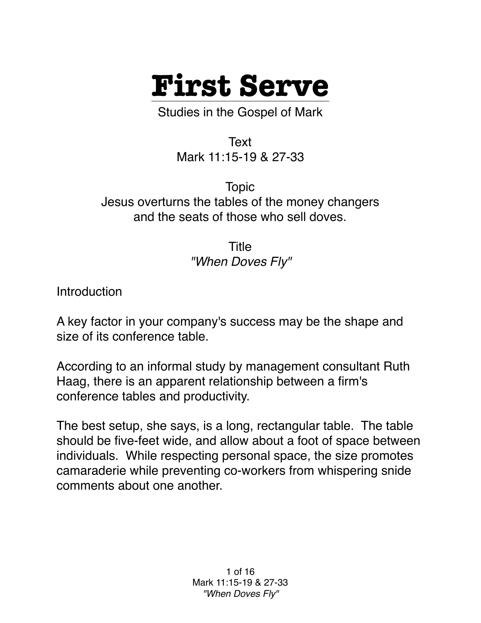

Studies in the Gospel of Mark

Text Mark 11:15-19 & 27-33

Topic Jesus overturns the tables of the money changers and the seats of those who sell doves.

> Title *"When Doves Fly"*

**Introduction** 

A key factor in your company's success may be the shape and size of its conference table.

According to an informal study by management consultant Ruth Haag, there is an apparent relationship between a firm's conference tables and productivity.

The best setup, she says, is a long, rectangular table. The table should be five-feet wide, and allow about a foot of space between individuals. While respecting personal space, the size promotes camaraderie while preventing co-workers from whispering snide comments about one another.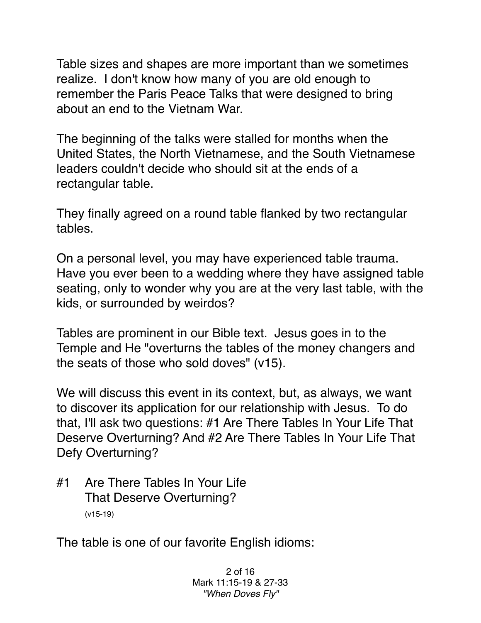Table sizes and shapes are more important than we sometimes realize. I don't know how many of you are old enough to remember the Paris Peace Talks that were designed to bring about an end to the Vietnam War.

The beginning of the talks were stalled for months when the United States, the North Vietnamese, and the South Vietnamese leaders couldn't decide who should sit at the ends of a rectangular table.

They finally agreed on a round table flanked by two rectangular tables.

On a personal level, you may have experienced table trauma. Have you ever been to a wedding where they have assigned table seating, only to wonder why you are at the very last table, with the kids, or surrounded by weirdos?

Tables are prominent in our Bible text. Jesus goes in to the Temple and He "overturns the tables of the money changers and the seats of those who sold doves" (v15).

We will discuss this event in its context, but, as always, we want to discover its application for our relationship with Jesus. To do that, I'll ask two questions: #1 Are There Tables In Your Life That Deserve Overturning? And #2 Are There Tables In Your Life That Defy Overturning?

#1 Are There Tables In Your Life That Deserve Overturning? (v15-19)

The table is one of our favorite English idioms: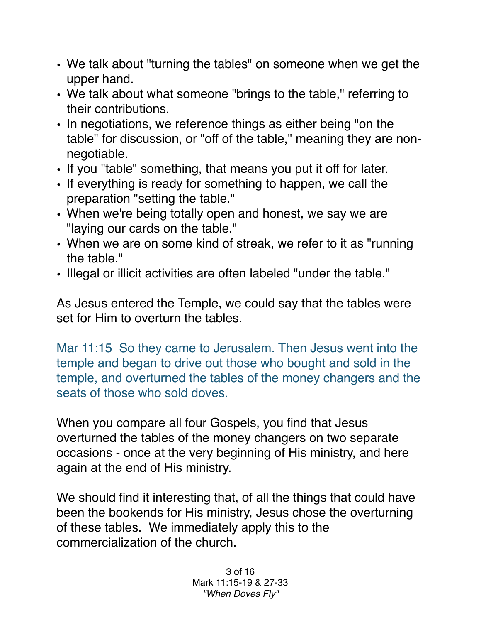- We talk about "turning the tables" on someone when we get the upper hand.
- We talk about what someone "brings to the table," referring to their contributions.
- In negotiations, we reference things as either being "on the table" for discussion, or "off of the table," meaning they are nonnegotiable.
- If you "table" something, that means you put it off for later.
- If everything is ready for something to happen, we call the preparation "setting the table."
- When we're being totally open and honest, we say we are "laying our cards on the table."
- When we are on some kind of streak, we refer to it as "running the table."
- Illegal or illicit activities are often labeled "under the table."

As Jesus entered the Temple, we could say that the tables were set for Him to overturn the tables.

Mar 11:15 So they came to Jerusalem. Then Jesus went into the temple and began to drive out those who bought and sold in the temple, and overturned the tables of the money changers and the seats of those who sold doves.

When you compare all four Gospels, you find that Jesus overturned the tables of the money changers on two separate occasions - once at the very beginning of His ministry, and here again at the end of His ministry.

We should find it interesting that, of all the things that could have been the bookends for His ministry, Jesus chose the overturning of these tables. We immediately apply this to the commercialization of the church.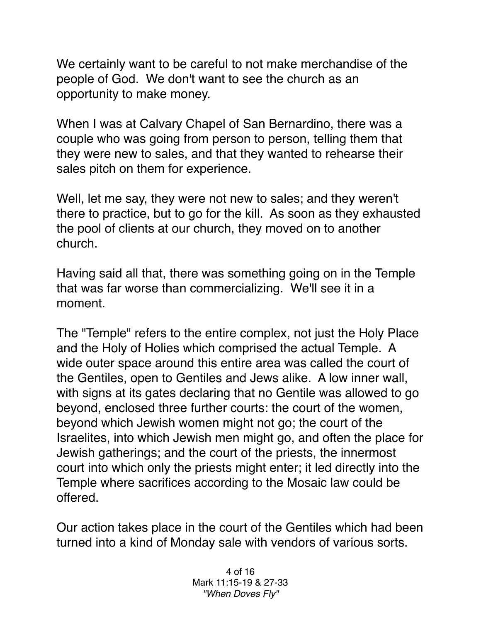We certainly want to be careful to not make merchandise of the people of God. We don't want to see the church as an opportunity to make money.

When I was at Calvary Chapel of San Bernardino, there was a couple who was going from person to person, telling them that they were new to sales, and that they wanted to rehearse their sales pitch on them for experience.

Well, let me say, they were not new to sales; and they weren't there to practice, but to go for the kill. As soon as they exhausted the pool of clients at our church, they moved on to another church.

Having said all that, there was something going on in the Temple that was far worse than commercializing. We'll see it in a moment.

The "Temple" refers to the entire complex, not just the Holy Place and the Holy of Holies which comprised the actual Temple. A wide outer space around this entire area was called the court of the Gentiles, open to Gentiles and Jews alike. A low inner wall, with signs at its gates declaring that no Gentile was allowed to go beyond, enclosed three further courts: the court of the women, beyond which Jewish women might not go; the court of the Israelites, into which Jewish men might go, and often the place for Jewish gatherings; and the court of the priests, the innermost court into which only the priests might enter; it led directly into the Temple where sacrifices according to the Mosaic law could be offered.

Our action takes place in the court of the Gentiles which had been turned into a kind of Monday sale with vendors of various sorts.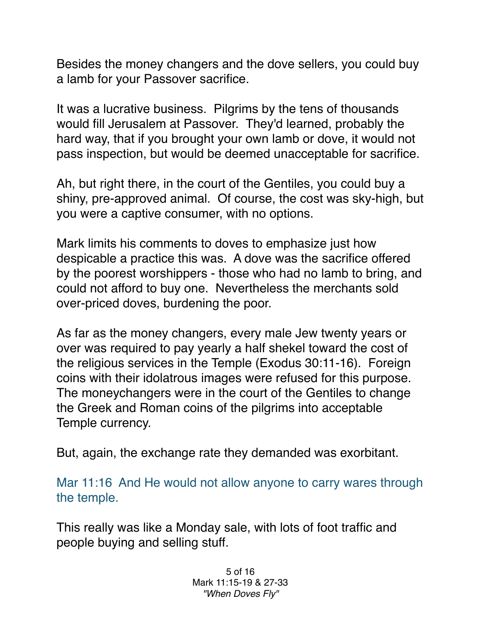Besides the money changers and the dove sellers, you could buy a lamb for your Passover sacrifice.

It was a lucrative business. Pilgrims by the tens of thousands would fill Jerusalem at Passover. They'd learned, probably the hard way, that if you brought your own lamb or dove, it would not pass inspection, but would be deemed unacceptable for sacrifice.

Ah, but right there, in the court of the Gentiles, you could buy a shiny, pre-approved animal. Of course, the cost was sky-high, but you were a captive consumer, with no options.

Mark limits his comments to doves to emphasize just how despicable a practice this was. A dove was the sacrifice offered by the poorest worshippers - those who had no lamb to bring, and could not afford to buy one. Nevertheless the merchants sold over-priced doves, burdening the poor.

As far as the money changers, every male Jew twenty years or over was required to pay yearly a half shekel toward the cost of the religious services in the Temple (Exodus 30:11-16). Foreign coins with their idolatrous images were refused for this purpose. The moneychangers were in the court of the Gentiles to change the Greek and Roman coins of the pilgrims into acceptable Temple currency.

But, again, the exchange rate they demanded was exorbitant.

Mar 11:16 And He would not allow anyone to carry wares through the temple.

This really was like a Monday sale, with lots of foot traffic and people buying and selling stuff.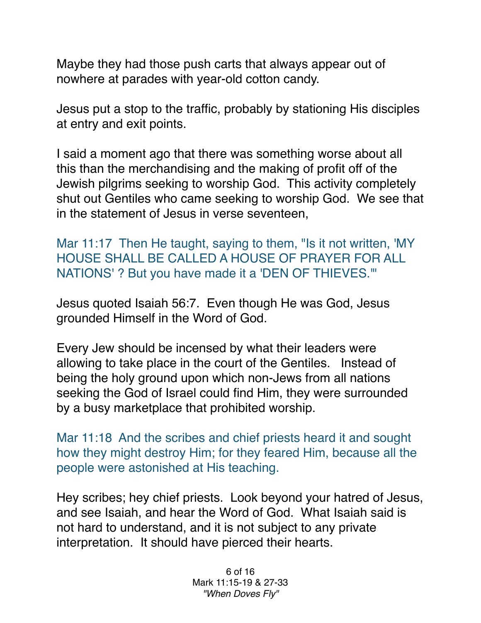Maybe they had those push carts that always appear out of nowhere at parades with year-old cotton candy.

Jesus put a stop to the traffic, probably by stationing His disciples at entry and exit points.

I said a moment ago that there was something worse about all this than the merchandising and the making of profit off of the Jewish pilgrims seeking to worship God. This activity completely shut out Gentiles who came seeking to worship God. We see that in the statement of Jesus in verse seventeen,

Mar 11:17 Then He taught, saying to them, "Is it not written, 'MY HOUSE SHALL BE CALLED A HOUSE OF PRAYER FOR ALL NATIONS' ? But you have made it a 'DEN OF THIEVES.'"

Jesus quoted Isaiah 56:7. Even though He was God, Jesus grounded Himself in the Word of God.

Every Jew should be incensed by what their leaders were allowing to take place in the court of the Gentiles. Instead of being the holy ground upon which non-Jews from all nations seeking the God of Israel could find Him, they were surrounded by a busy marketplace that prohibited worship.

Mar 11:18 And the scribes and chief priests heard it and sought how they might destroy Him; for they feared Him, because all the people were astonished at His teaching.

Hey scribes; hey chief priests. Look beyond your hatred of Jesus, and see Isaiah, and hear the Word of God. What Isaiah said is not hard to understand, and it is not subject to any private interpretation. It should have pierced their hearts.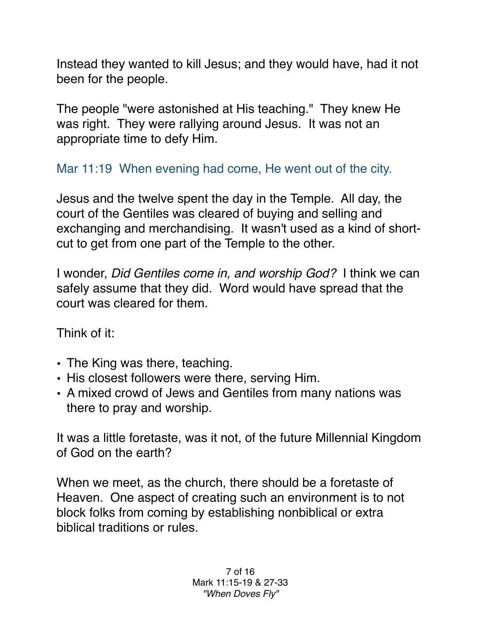Instead they wanted to kill Jesus; and they would have, had it not been for the people.

The people "were astonished at His teaching." They knew He was right. They were rallying around Jesus. It was not an appropriate time to defy Him.

Mar 11:19 When evening had come, He went out of the city.

Jesus and the twelve spent the day in the Temple. All day, the court of the Gentiles was cleared of buying and selling and exchanging and merchandising. It wasn't used as a kind of shortcut to get from one part of the Temple to the other.

I wonder, *Did Gentiles come in, and worship God?* I think we can safely assume that they did. Word would have spread that the court was cleared for them.

Think of it:

- The King was there, teaching.
- His closest followers were there, serving Him.
- A mixed crowd of Jews and Gentiles from many nations was there to pray and worship.

It was a little foretaste, was it not, of the future Millennial Kingdom of God on the earth?

When we meet, as the church, there should be a foretaste of Heaven. One aspect of creating such an environment is to not block folks from coming by establishing nonbiblical or extra biblical traditions or rules.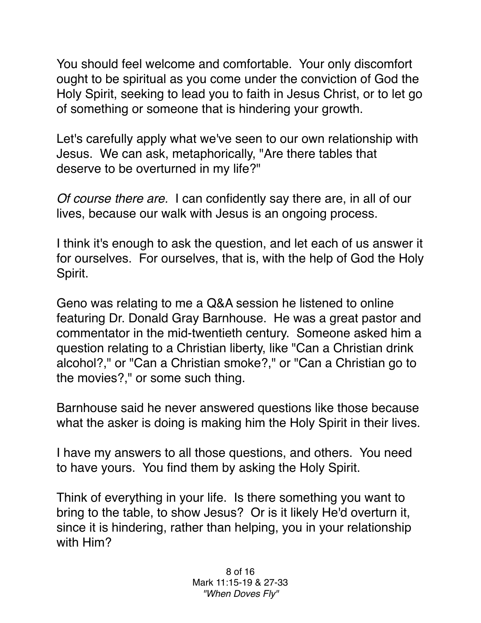You should feel welcome and comfortable. Your only discomfort ought to be spiritual as you come under the conviction of God the Holy Spirit, seeking to lead you to faith in Jesus Christ, or to let go of something or someone that is hindering your growth.

Let's carefully apply what we've seen to our own relationship with Jesus. We can ask, metaphorically, "Are there tables that deserve to be overturned in my life?"

*Of course there are.* I can confidently say there are, in all of our lives, because our walk with Jesus is an ongoing process.

I think it's enough to ask the question, and let each of us answer it for ourselves. For ourselves, that is, with the help of God the Holy Spirit.

Geno was relating to me a Q&A session he listened to online featuring Dr. Donald Gray Barnhouse. He was a great pastor and commentator in the mid-twentieth century. Someone asked him a question relating to a Christian liberty, like "Can a Christian drink alcohol?," or "Can a Christian smoke?," or "Can a Christian go to the movies?," or some such thing.

Barnhouse said he never answered questions like those because what the asker is doing is making him the Holy Spirit in their lives.

I have my answers to all those questions, and others. You need to have yours. You find them by asking the Holy Spirit.

Think of everything in your life. Is there something you want to bring to the table, to show Jesus? Or is it likely He'd overturn it, since it is hindering, rather than helping, you in your relationship with Him?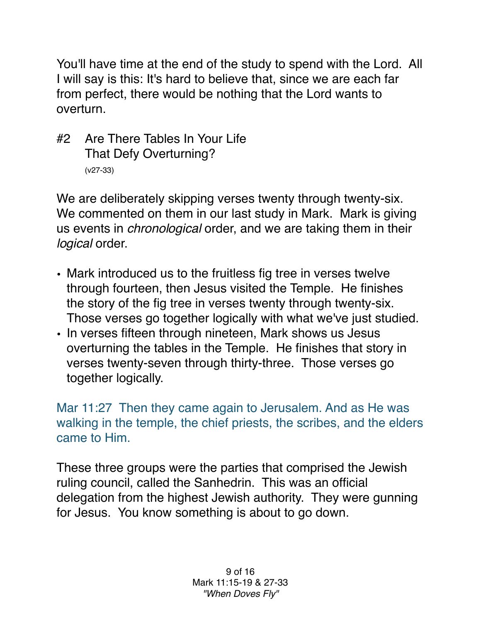You'll have time at the end of the study to spend with the Lord. All I will say is this: It's hard to believe that, since we are each far from perfect, there would be nothing that the Lord wants to overturn.

## #2 Are There Tables In Your Life That Defy Overturning? (v27-33)

We are deliberately skipping verses twenty through twenty-six. We commented on them in our last study in Mark. Mark is giving us events in *chronological* order, and we are taking them in their *logical* order.

- Mark introduced us to the fruitless fig tree in verses twelve through fourteen, then Jesus visited the Temple. He finishes the story of the fig tree in verses twenty through twenty-six. Those verses go together logically with what we've just studied.
- In verses fifteen through nineteen, Mark shows us Jesus overturning the tables in the Temple. He finishes that story in verses twenty-seven through thirty-three. Those verses go together logically.

Mar 11:27 Then they came again to Jerusalem. And as He was walking in the temple, the chief priests, the scribes, and the elders came to Him.

These three groups were the parties that comprised the Jewish ruling council, called the Sanhedrin. This was an official delegation from the highest Jewish authority. They were gunning for Jesus. You know something is about to go down.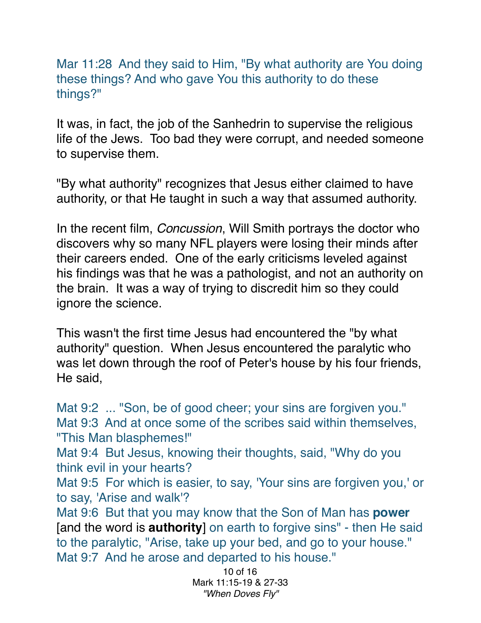Mar 11:28 And they said to Him, "By what authority are You doing these things? And who gave You this authority to do these things?"

It was, in fact, the job of the Sanhedrin to supervise the religious life of the Jews. Too bad they were corrupt, and needed someone to supervise them.

"By what authority" recognizes that Jesus either claimed to have authority, or that He taught in such a way that assumed authority.

In the recent film, *Concussion*, Will Smith portrays the doctor who discovers why so many NFL players were losing their minds after their careers ended. One of the early criticisms leveled against his findings was that he was a pathologist, and not an authority on the brain. It was a way of trying to discredit him so they could ignore the science.

This wasn't the first time Jesus had encountered the "by what authority" question. When Jesus encountered the paralytic who was let down through the roof of Peter's house by his four friends, He said,

Mat 9:2 ... "Son, be of good cheer; your sins are forgiven you." Mat 9:3 And at once some of the scribes said within themselves, "This Man blasphemes!"

Mat 9:4 But Jesus, knowing their thoughts, said, "Why do you think evil in your hearts?

Mat 9:5 For which is easier, to say, 'Your sins are forgiven you,' or to say, 'Arise and walk'?

Mat 9:6 But that you may know that the Son of Man has **power** [and the word is **authority**] on earth to forgive sins" - then He said to the paralytic, "Arise, take up your bed, and go to your house." Mat 9:7 And he arose and departed to his house."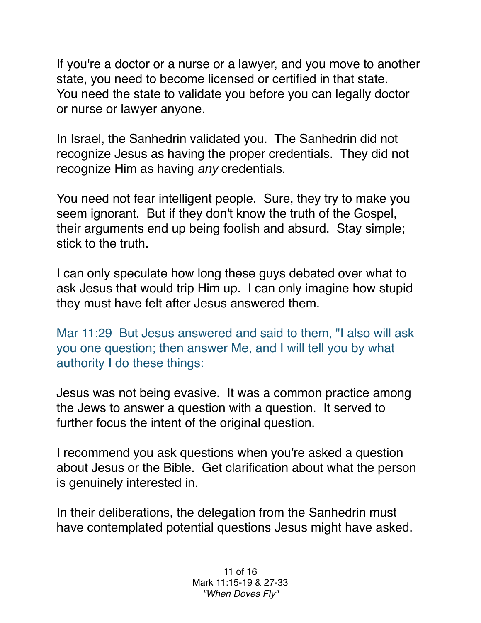If you're a doctor or a nurse or a lawyer, and you move to another state, you need to become licensed or certified in that state. You need the state to validate you before you can legally doctor or nurse or lawyer anyone.

In Israel, the Sanhedrin validated you. The Sanhedrin did not recognize Jesus as having the proper credentials. They did not recognize Him as having *any* credentials.

You need not fear intelligent people. Sure, they try to make you seem ignorant. But if they don't know the truth of the Gospel, their arguments end up being foolish and absurd. Stay simple; stick to the truth.

I can only speculate how long these guys debated over what to ask Jesus that would trip Him up. I can only imagine how stupid they must have felt after Jesus answered them.

Mar 11:29 But Jesus answered and said to them, "I also will ask you one question; then answer Me, and I will tell you by what authority I do these things:

Jesus was not being evasive. It was a common practice among the Jews to answer a question with a question. It served to further focus the intent of the original question.

I recommend you ask questions when you're asked a question about Jesus or the Bible. Get clarification about what the person is genuinely interested in.

In their deliberations, the delegation from the Sanhedrin must have contemplated potential questions Jesus might have asked.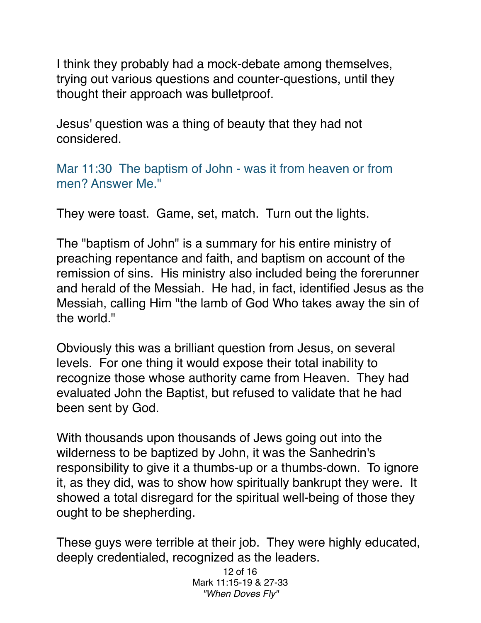I think they probably had a mock-debate among themselves, trying out various questions and counter-questions, until they thought their approach was bulletproof.

Jesus' question was a thing of beauty that they had not considered.

Mar 11:30 The baptism of John - was it from heaven or from men? Answer Me."

They were toast. Game, set, match. Turn out the lights.

The "baptism of John" is a summary for his entire ministry of preaching repentance and faith, and baptism on account of the remission of sins. His ministry also included being the forerunner and herald of the Messiah. He had, in fact, identified Jesus as the Messiah, calling Him "the lamb of God Who takes away the sin of the world."

Obviously this was a brilliant question from Jesus, on several levels. For one thing it would expose their total inability to recognize those whose authority came from Heaven. They had evaluated John the Baptist, but refused to validate that he had been sent by God.

With thousands upon thousands of Jews going out into the wilderness to be baptized by John, it was the Sanhedrin's responsibility to give it a thumbs-up or a thumbs-down. To ignore it, as they did, was to show how spiritually bankrupt they were. It showed a total disregard for the spiritual well-being of those they ought to be shepherding.

These guys were terrible at their job. They were highly educated, deeply credentialed, recognized as the leaders.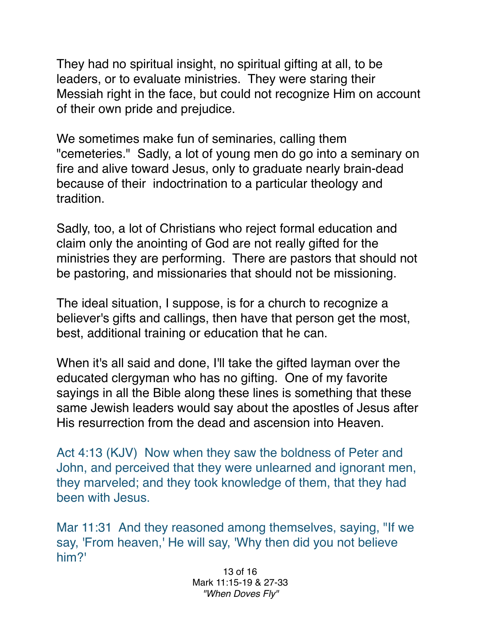They had no spiritual insight, no spiritual gifting at all, to be leaders, or to evaluate ministries. They were staring their Messiah right in the face, but could not recognize Him on account of their own pride and prejudice.

We sometimes make fun of seminaries, calling them "cemeteries." Sadly, a lot of young men do go into a seminary on fire and alive toward Jesus, only to graduate nearly brain-dead because of their indoctrination to a particular theology and tradition.

Sadly, too, a lot of Christians who reject formal education and claim only the anointing of God are not really gifted for the ministries they are performing. There are pastors that should not be pastoring, and missionaries that should not be missioning.

The ideal situation, I suppose, is for a church to recognize a believer's gifts and callings, then have that person get the most, best, additional training or education that he can.

When it's all said and done, I'll take the gifted layman over the educated clergyman who has no gifting. One of my favorite sayings in all the Bible along these lines is something that these same Jewish leaders would say about the apostles of Jesus after His resurrection from the dead and ascension into Heaven.

Act 4:13 (KJV) Now when they saw the boldness of Peter and John, and perceived that they were unlearned and ignorant men, they marveled; and they took knowledge of them, that they had been with Jesus.

Mar 11:31 And they reasoned among themselves, saying, "If we say, 'From heaven,' He will say, 'Why then did you not believe him?'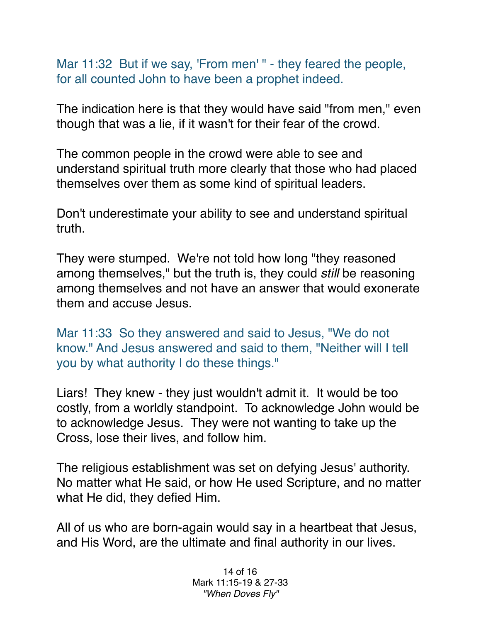Mar 11:32 But if we say, 'From men' " - they feared the people, for all counted John to have been a prophet indeed.

The indication here is that they would have said "from men," even though that was a lie, if it wasn't for their fear of the crowd.

The common people in the crowd were able to see and understand spiritual truth more clearly that those who had placed themselves over them as some kind of spiritual leaders.

Don't underestimate your ability to see and understand spiritual truth.

They were stumped. We're not told how long "they reasoned among themselves," but the truth is, they could *still* be reasoning among themselves and not have an answer that would exonerate them and accuse Jesus.

Mar 11:33 So they answered and said to Jesus, "We do not know." And Jesus answered and said to them, "Neither will I tell you by what authority I do these things."

Liars! They knew - they just wouldn't admit it. It would be too costly, from a worldly standpoint. To acknowledge John would be to acknowledge Jesus. They were not wanting to take up the Cross, lose their lives, and follow him.

The religious establishment was set on defying Jesus' authority. No matter what He said, or how He used Scripture, and no matter what He did, they defied Him.

All of us who are born-again would say in a heartbeat that Jesus, and His Word, are the ultimate and final authority in our lives.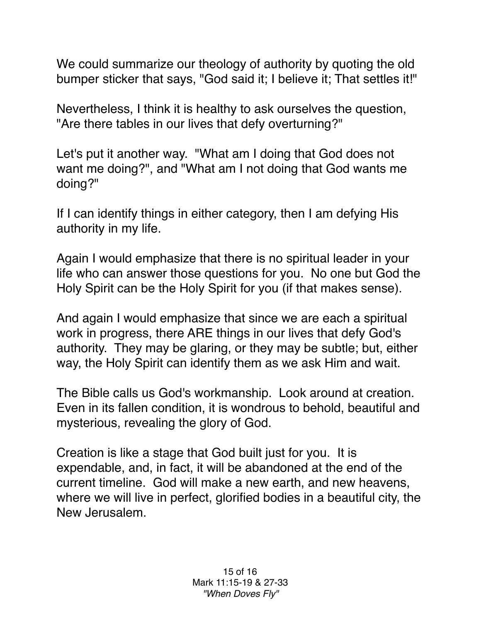We could summarize our theology of authority by quoting the old bumper sticker that says, "God said it; I believe it; That settles it!"

Nevertheless, I think it is healthy to ask ourselves the question, "Are there tables in our lives that defy overturning?"

Let's put it another way. "What am I doing that God does not want me doing?", and "What am I not doing that God wants me doing?"

If I can identify things in either category, then I am defying His authority in my life.

Again I would emphasize that there is no spiritual leader in your life who can answer those questions for you. No one but God the Holy Spirit can be the Holy Spirit for you (if that makes sense).

And again I would emphasize that since we are each a spiritual work in progress, there ARE things in our lives that defy God's authority. They may be glaring, or they may be subtle; but, either way, the Holy Spirit can identify them as we ask Him and wait.

The Bible calls us God's workmanship. Look around at creation. Even in its fallen condition, it is wondrous to behold, beautiful and mysterious, revealing the glory of God.

Creation is like a stage that God built just for you. It is expendable, and, in fact, it will be abandoned at the end of the current timeline. God will make a new earth, and new heavens, where we will live in perfect, glorified bodies in a beautiful city, the New Jerusalem.